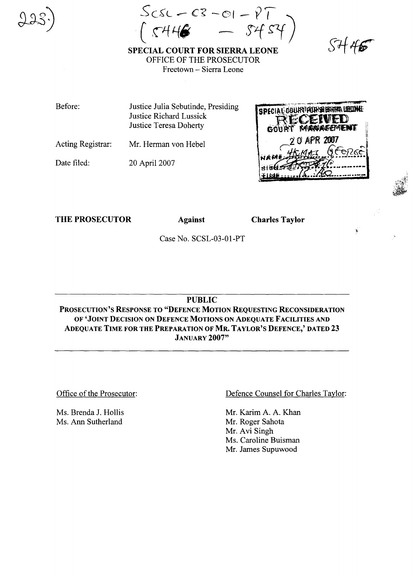$ScsC - CS - O1 - PT$ 

SPECIAL COURT FOR SIERRA LEONE OFFICE OF THE PROSECUTOR Freetown - Sierra Leone

 $SH46$ 

Before: Justice Julia Sebutinde, Presiding SPECIAL DOURY FOR SHIRTA URUNE Justice Richard Lussick Justice Teresa Doherty

Acting Registrar: Mr. Herman von Hebel

Date filed: 20 April 2007



THE PROSECUTOR Against

Charles Taylor

Case No. SCSL-03-01-PT

PUBLIC

PROSECUTION'S RESPONSE TO "DEFENCE MOTION REQUESTING RECONSIDERATION OF 'JOINT DECISION ON DEFENCE MOTIONS ON ADEQUATE FACILITIES AND ADEQUATE TIME FOR THE PREPARATION OF MR. TAYLOR'S DEFENCE,' DATED 23 JANUARY 2007"

Office of the Prosecutor:

Ms. Brenda J. Hollis Ms. Ann Sutherland

Defence Counsel for Charles Taylor:

Mr. Karim A. A. Khan Mr. Roger Sahota Mr. Avi Singh Ms. Caroline Buisman Mr. James Supuwood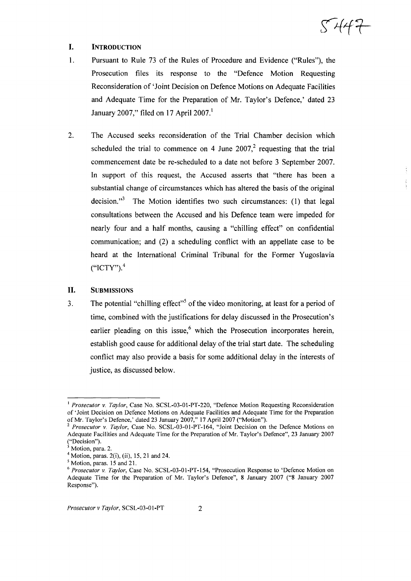5447

# I. INTRODUCTION

- 1. Pursuant to Rule 73 of the Rules of Procedure and Evidence ("Rules"), the Prosecution files its response to the "Defence Motion Requesting Reconsideration of 'Joint Decision on Defence Motions on Adequate Facilities and Adequate Time for the Preparation of Mr. Taylor's Defence,' dated 23 January 2007," filed on 17 April 2007.<sup>1</sup>
- 2. The Accused seeks reconsideration of the Trial Chamber decision which scheduled the trial to commence on 4 June 2007,<sup>2</sup> requesting that the trial commencement date be re-scheduled to a date not before 3 September 2007. In support of this request, the Accused asserts that "there has been a substantial change of circumstances which has altered the basis of the original decision. $3<sup>3</sup>$  The Motion identifies two such circumstances: (1) that legal consultations between the Accused and his Defence team were impeded for nearly four and a half months, causing a "chilling effect" on confidential communication; and (2) a scheduling conflict with an appellate case to be heard at the International Criminal Tribunal for the Former Yugoslavia  $(^{\circ}ICTY")$ .<sup>4</sup>

# II. SUBMISSIONS

3. The potential "chilling effect"<sup>5</sup> of the video monitoring, at least for a period of time, combined with the justifications for delay discussed in the Prosecution's earlier pleading on this issue,<sup>6</sup> which the Prosecution incorporates herein, establish good cause for additional delay of the trial start date. The scheduling conflict may also provide a basis for some additional delay in the interests of justice, as discussed below.

<sup>I</sup> *Prosecutor* v. *Taylor,* Case No. SCSL-03-01-PT-220, "Defence Motion Requesting Reconsideration of'Joint Decision on Defence Motions on Adequate Facilities and Adequate Time for the Preparation of Mr. Taylor's Defence,' dated 23 January 2007," 17 April 2007 ("Motion").

<sup>2</sup> *Prosecutor* v. *Taylor,* Case No. SCSL-03-01-PT-I64, "Joint Decision on the Defence Motions on Adequate Facilities and Adequate Time for the Preparation of Mr. Taylor's Defence", 23 January 2007 ("Decision").

Motion, para. 2.

 $4$  Motion, paras. 2(i), (ii), 15, 21 and 24.

<sup>5</sup> Motion, paras. 15 and 21.

<sup>6</sup> *Prosecutor* v. *Taylor,* Case No. SCSL-03-01-PT-154, "Prosecution Response to 'Defence Motion on Adequate Time for the Preparation of Mr. Taylor's Defence", 8 January 2007 ("8 January 2007 Response").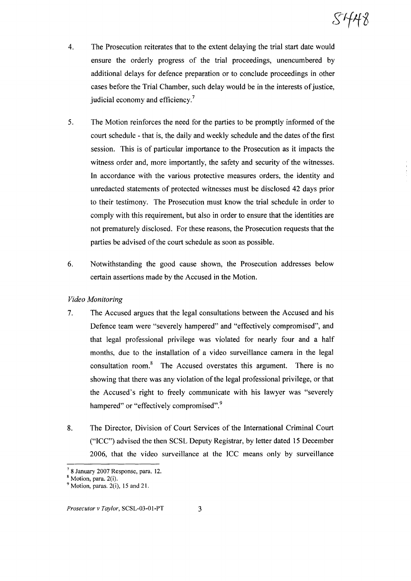SHA8

- 4. The Prosecution reiterates that to the extent delaying the trial start date would ensure the orderly progress of the trial proceedings, unencumbered by additional delays for defence preparation or to conclude proceedings in other cases before the Trial Chamber, such delay would be in the interests of justice, judicial economy and efficiency.<sup>7</sup>
- 5. The Motion reinforces the need for the parties to be promptly informed of the court schedule - that is, the daily and weekly schedule and the dates of the first session. This is of particular importance to the Prosecution as it impacts the witness order and, more importantly, the safety and security of the witnesses. In accordance with the various protective measures orders, the identity and unredacted statements of protected witnesses must be disclosed 42 days prior to their testimony. The Prosecution must know the trial schedule in order to comply with this requirement, but also in order to ensure that the identities are not prematurely disclosed. For these reasons, the Prosecution requests that the parties be advised of the court schedule as soon as possible.
- 6. Notwithstanding the good cause shown, the Prosecution addresses below certain assertions made by the Accused in the Motion.

## *Video Monitoring*

- 7. The Accused argues that the legal consultations between the Accused and his Defence team were "severely hampered" and "effectively compromised", and that legal professional privilege was violated for nearly four and a half months, due to the installation of a video surveillance camera in the legal consultation room. $8$  The Accused overstates this argument. There is no showing that there was any violation of the legal professional privilege, or that the Accused's right to freely communicate with his lawyer was "severely hampered" or "effectively compromised".<sup>9</sup>
- 8. The Director, Division of Court Services of the International Criminal Court ("ICC") advised the then SCSL Deputy Registrar, by letter dated 15 December 2006, that the video surveillance at the ICC means only by surveillance

 $7$  8 January 2007 Response, para. 12.

<sup>8</sup> Motion, para. 2(i).

 $9$  Motion, paras. 2(i), 15 and 21.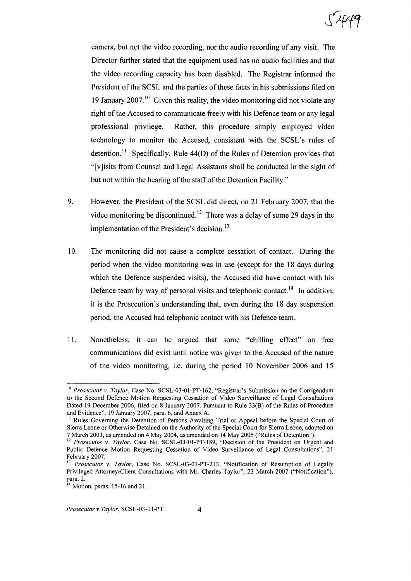camera, but not the video recording, nor the audio recording of any visit. The Director further stated that the equipment used has no audio facilities and that the video recording capacity has been disabled. The Registrar informed the President of the SCSL and the parties of these facts in his submissions filed on 19 January  $2007$ <sup>10</sup> Given this reality, the video monitoring did not violate any right of the Accused to communicate freely with his Defence team or any legal professional privilege. Rather, this procedure simply employed video technology to monitor the Accused, consistent with the SCSL's rules of detention.<sup>11</sup> Specifically, Rule  $44(D)$  of the Rules of Detention provides that "[v]isits from Counsel and Legal Assistants shall be conducted in the sight of but not within the hearing of the staff of the Detention Facility."

- 9. However, the President of the SCSL did direct, on 21 February 2007, that the video monitoring be discontinued.<sup>12</sup> There was a delay of some 29 days in the implementation of the President's decision.<sup>13</sup>
- 10. The monitoring did not cause a complete cessation of contact. During the period when the video monitoring was in use (except for the 18 days during which the Defence suspended visits), the Accused did have contact with his Defence team by way of personal visits and telephonic contact.<sup>14</sup> In addition, it is the Prosecution's understanding that, even during the 18 day suspension period, the Accused had telephonic contact with his Defence team.
- 11. Nonetheless, it can be argued that some "chilling effect" on free communications did exist until notice was given to the Accused of the nature of the video monitoring, i.e. during the period 10 November 2006 and 15

<sup>10</sup> *Prosecutor* v. *Taylor,* Case No. SCSL-03-0l-PT-162, "Registrar's Submission on the Corrigendum to the Second Defence Motion Requesting Cessation of Video Surveillance of Legal Consultations Dated 19 December 2006, filed on 8 January 2007, Pursuant to Rule 33(8) of the Rules of Procedure and Evidence", 19 January 2007, para. 6, and Annex A.

<sup>&</sup>lt;sup>11</sup> Rules Governing the Detention of Persons Awaiting Trial or Appeal before the Special Court of Sierra Leone or Otherwise Detained on the Authority of the Special Court for Sierra Leone, adopted on 7 March 2003, as amended on 4 May 2004, as amended on 14 May 2005 ("Rules of Detention").

<sup>&</sup>lt;sup>12</sup> *Prosecutor* v. *Taylor*, Case No. SCSL-03-01-PT-189, "Decision of the President on Urgent and Public Defence Motion Requesting Cessation of Video Surveillance of Legal Consultations", 21 February 2007.

<sup>13</sup> *Prosecutor* v. *Taylor,* Case No. SCSL-03-01-PT-213, "Notification of Resumption of Legally Privileged Attorney-Client Consultations with Mr. Charles Taylor", 23 March 2007 ("Notification"), para. 2.

 $14$  Motion, paras. 15-16 and 21.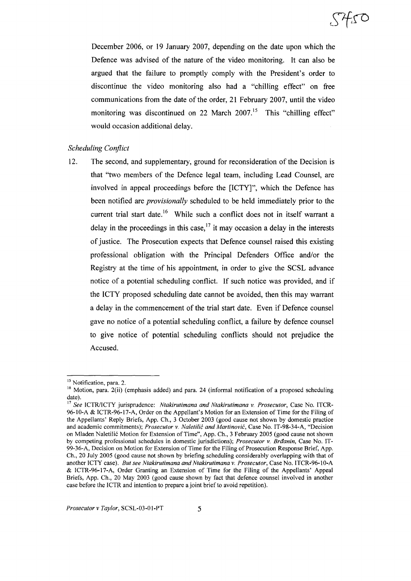December 2006, or 19 January 2007, depending on the date upon which the Defence was advised of the nature of the video monitoring. It can also be argued that the failure to promptly comply with the President's order to discontinue the video monitoring also had a "chilling effect" on free communications from the date of the order, 21 February 2007, until the video monitoring was discontinued on 22 March 2007.<sup>15</sup> This "chilling effect" would occasion additional delay.

## *Scheduling Conflict*

12. The second, and supplementary, ground for reconsideration of the Decision is that "two members of the Defence legal team, including Lead Counsel, are involved in appeal proceedings before the [ICTY]", which the Defence has been notified are *provisionally* scheduled to be held immediately prior to the current trial start date.<sup>16</sup> While such a conflict does not in itself warrant a delay in the proceedings in this case,<sup>17</sup> it may occasion a delay in the interests of justice. The Prosecution expects that Defence counsel raised this existing professional obligation with the Principal Defenders Office and/or the Registry at the time of his appointment, in order to give the SCSL advance notice of a potential scheduling conflict. If such notice was provided, and if the ICTY proposed scheduling date cannot be avoided, then this may warrant a delay in the commencement of the trial start date. Even if Defence counsel gave no notice of a potential scheduling conflict, a failure by defence counsel to give notice of potential scheduling conflicts should not prejudice the Accused.

<sup>&</sup>lt;sup>15</sup> Notification, para. 2.

<sup>&</sup>lt;sup>16</sup> Motion, para. 2(ii) (emphasis added) and para. 24 (informal notification of a proposed scheduling date).

<sup>17</sup> *See* ICTRlICTY jurisprudence: *Ntakirutimana and Ntakirutimana* v. *Prosecutor,* Case No. ITCR-96-lO-A & ICTR-96-l7-A, Order on the Appellant's Motion for an Extension of Time for the Filing of the Appellants' Reply Briefs, App. Ch., 3 October 2003 (good cause not shown by domestic practice and academic commitments); *Prosecutor* v. *Naletilic and Martinovic,* Case No. IT-98-34-A, "Decision on Mladen Naletili6 Motion for Extension of Time", App. Ch., 3 February 2005 (good cause not shown by competing professional schedules in domestic jurisdictions); *Prosecutor* v. *Brdanin,* Case No. IT-99-36-A, Decision on Motion for Extension of Time for the Filing of Prosecution Response Brief, App. Ch., 20 July 2005 (good cause not shown by briefing scheduling considerably overlapping with that of another ICTY case). *But see Ntakirutimana and Ntakirutimana* v. *Prosecutor,* Case No. ITCR-96-1O-A & ICTR-96-17-A, Order Granting an Extension of Time for the Filing of the Appellants' Appeal Briefs, App. Ch., 20 May 2003 (good cause shown by fact that defence counsel involved in another case before the ICTR and intention to prepare a joint brief to avoid repetition).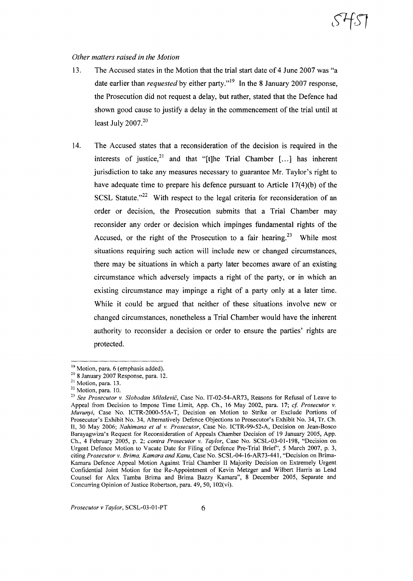### *Other matters raised in the Motion*

- 13. The Accused states in the Motion that the trial start date of 4 June 2007 was "a date earlier than *requested* by either party."<sup>19</sup> In the 8 January 2007 response, the Prosecution did not request a delay, but rather, stated that the Defence had shown good cause to justify a delay in the commencement of the trial until at least July  $2007.<sup>20</sup>$
- 14. The Accused states that a reconsideration of the decision is required in the interests of justice,<sup>21</sup> and that "[t]he Trial Chamber  $[...]$  has inherent jurisdiction to take any measures necessary to guarantee Mr. Taylor's right to have adequate time to prepare his defence pursuant to Article 17(4)(b) of the SCSL Statute. $12^2$  With respect to the legal criteria for reconsideration of an order or decision, the Prosecution submits that a Trial Chamber may reconsider any order or decision which impinges fundamental rights of the Accused, or the right of the Prosecution to a fair hearing.<sup>23</sup> While most situations requiring such action will include new or changed circumstances, there may be situations in which a party later becomes aware of an existing circumstance which adversely impacts a right of the party, or in which an existing circumstance may impinge a right of a party only at a later time. While it could be argued that neither of these situations involve new or changed circumstances, nonetheless a Trial Chamber would have the inherent authority to reconsider a decision or order to ensure the parties' rights are protected.

<sup>&</sup>lt;sup>19</sup> Motion, para. 6 (emphasis added).

<sup>20</sup> 8 January 2007 Response, para. 12.

<sup>&</sup>lt;sup>21</sup> Motion, para. 13.

<sup>&</sup>lt;sup>22</sup> Motion, para. 10.

*<sup>23</sup> See Prosecutor* v. *Slobodan Milosevic,* Case No. 1T-02-54-AR73, Reasons for Refusal of Leave to Appeal from Decision to Impose Time Limit, App. Ch., 16 May 2002, para. 17; *cf Prosecutor* v. *Muvunyi,* Case No. ICTR-2000-55A-T, Decision on Motion to Strike or Exclude Portions of Prosecutor's Exhibit No. 34, Alternatively Defence Objections to Prosecutor's Exhibit No. 34, Tr. Ch. II, 30 May 2006; *Nahimana et al* v. *Prosecutor,* Case No. ICTR-99-52-A, Decision on Jean-Bosco Barayagwiza's Request for Reconsideration of Appeals Chamber Decision of 19 January 2005, App. Ch., 4 February 2005, p. 2; *contra Prosecutor* v. *Taylor,* Case No. SCSL-03-01-198, "Decision on Urgent Defence Motion to Vacate Date for Filing of Defence Pre-Trial Brief', 5 March 2007, p. 3, citing *Prosecutor* v. *Brima, Kamara and Kanu,* Case No. SCSL-04-16-AR73-441, "Decision on Brima-Kamara Defence Appeal Motion Against Trial Chamber II Majority Decision on Extremely Urgent Confidential Joint Motion for the Re-Appointment of Kevin Metzger and Wilbert Harris as Lead Counsel for Alex Tamba Brima and Brima Bazzy Kamara", 8 December 2005, Separate and Concurring Opinion of Justice Robertson, para.  $49, 50, 102(vi)$ .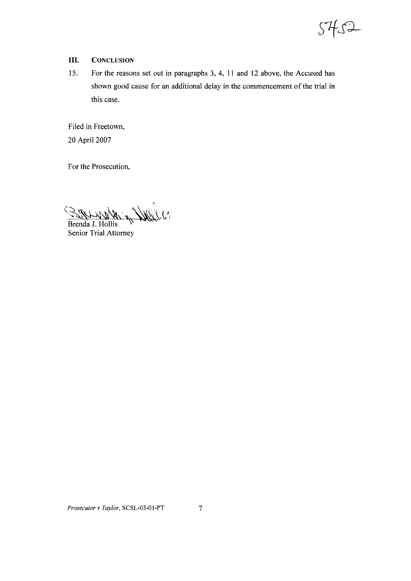

- **III.** CONCLUSION
- 15. For the reasons set out in paragraphs 3, 4, 11 and 12 above, the Accused has shown good cause for an additional delay in the commencement of the trial in this case.

Filed in Freetown, 20 April 2007

For the Prosecution,

 $\mathscr{L}(\mathcal{M})$ 

Brenda J. Hollis Senior Trial Attorney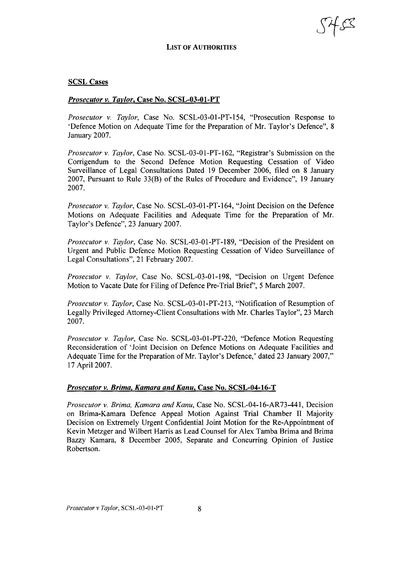#### LIST OF AUTHORITIES

#### SCSL Cases

#### *Prosecutor v. Taylor,* Case No. SCSL-03-01-PT

*Prosecutor* v. *Taylor,* Case No. SCSL-03-01-PT-154, "Prosecution Response to 'Defence Motion on Adequate Time for the Preparation of Mr. Taylor's Defence", 8 January 2007.

*Prosecutor* v. *Taylor,* Case No. SCSL-03-01-PT-162, "Registrar's Submission on the Corrigendum to the Second Defence Motion Requesting Cessation of Video Surveillance of Legal Consultations Dated 19 December 2006, filed on 8 January 2007, Pursuant to Rule 33(B) of the Rules of Procedure and Evidence", 19 January 2007.

*Prosecutor* v. *Taylor,* Case No. SCSL-03-01-PT-164, "Joint Decision on the Defence Motions on Adequate Facilities and Adequate Time for the Preparation of Mr. Taylor's Defence", 23 January 2007.

*Prosecutor* v. *Taylor,* Case No. SCSL-03-01-PT-189, "Decision of the President on Urgent and Public Defence Motion Requesting Cessation of Video Surveillance of Legal Consultations", 21 February 2007.

*Prosecutor* v. *Taylor,* Case No. SCSL-03-01-198, "Decision on Urgent Defence Motion to Vacate Date for Filing of Defence Pre-Trial Brief', 5 March 2007.

*Prosecutor v. Taylor,* Case No. SCSL-03-0 I-PT-213, "Notification of Resumption of Legally Privileged Attorney-Client Consultations with Mr. Charles Taylor", 23 March 2007.

*Prosecutor* v. *Taylor,* Case No. SCSL-03-01-PT-220, "Defence Motion Requesting Reconsideration of 'Joint Decision on Defence Motions on Adequate Facilities and Adequate Time for the Preparation of Mr. Taylor's Defence,' dated 23 January 2007," 17 April 2007.

#### *Prosecutor v. Brima, Kamara and Kanu,* Case No. SCSL-04-16-T

*Prosecutor* v. *Brima, Kamara and Kanu,* Case No. SCSL-04-16-AR73-441, Decision on Brima-Kamara Defence Appeal Motion Against Trial Chamber II Majority Decision on Extremely Urgent Confidential Joint Motion for the Re-Appointment of Kevin Metzger and Wilbert Harris as Lead Counsel for Alex Tamba Brima and Brima Bazzy Kamara, 8 December 2005, Separate and Concurring Opinion of Justice Robertson.